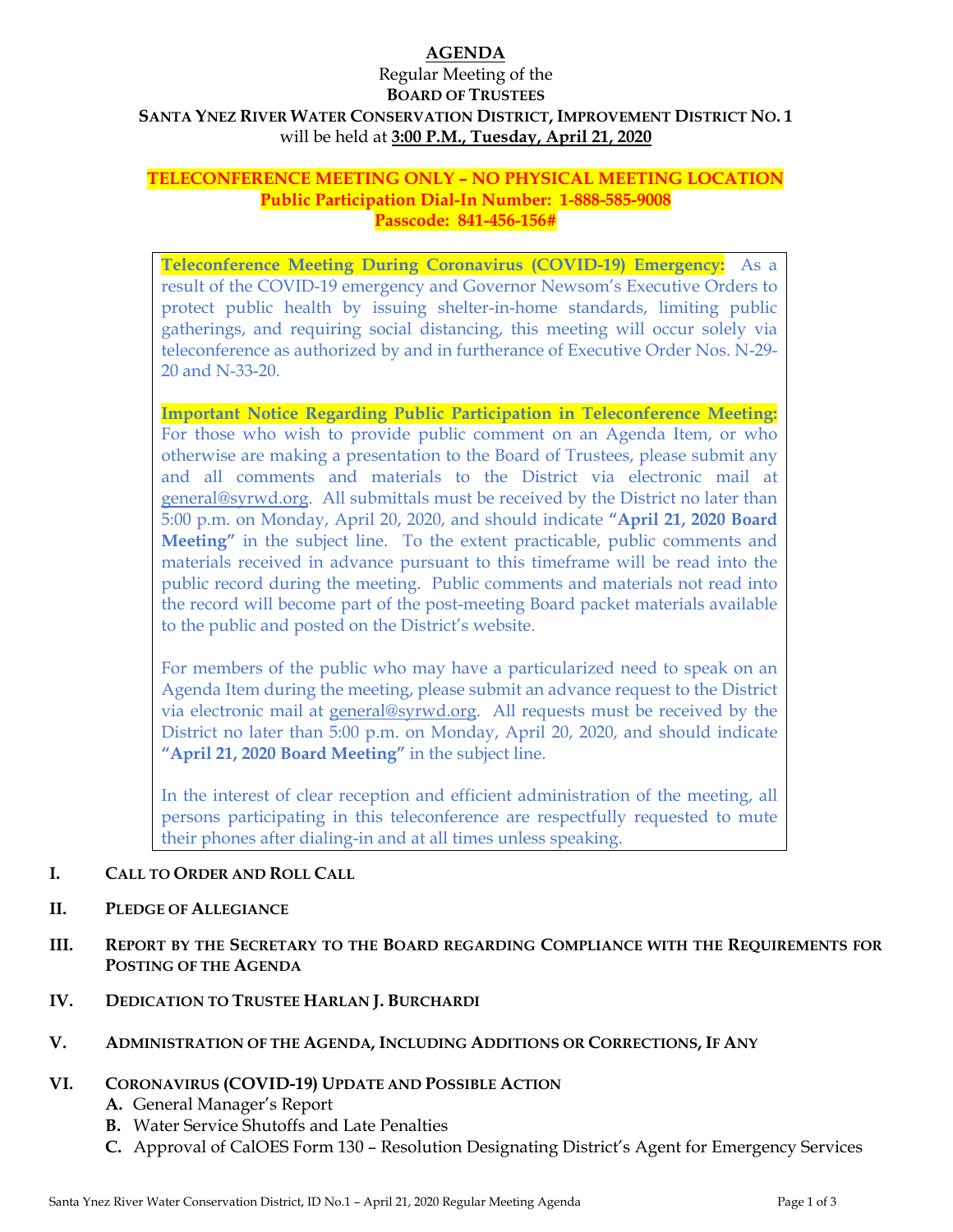# **AGENDA**

### Regular Meeting of the **BOARD OF TRUSTEES SANTA YNEZ RIVER WATER CONSERVATION DISTRICT, IMPROVEMENT DISTRICT NO. 1**  will be held at **3:00 P.M., Tuesday, April 21, 2020**

### **TELECONFERENCE MEETING ONLY – NO PHYSICAL MEETING LOCATION Public Participation Dial-In Number: 1-888-585-9008 Passcode: 841-456-156#**

**Teleconference Meeting During Coronavirus (COVID-19) Emergency:** As a result of the COVID-19 emergency and Governor Newsom's Executive Orders to protect public health by issuing shelter-in-home standards, limiting public gatherings, and requiring social distancing, this meeting will occur solely via teleconference as authorized by and in furtherance of Executive Order Nos. N-29- 20 and N-33-20.

**Important Notice Regarding Public Participation in Teleconference Meeting:** For those who wish to provide public comment on an Agenda Item, or who otherwise are making a presentation to the Board of Trustees, please submit any and all comments and materials to the District via electronic mail at general@syrwd.org. All submittals must be received by the District no later than 5:00 p.m. on Monday, April 20, 2020, and should indicate **"April 21, 2020 Board Meeting"** in the subject line. To the extent practicable, public comments and materials received in advance pursuant to this timeframe will be read into the public record during the meeting. Public comments and materials not read into the record will become part of the post-meeting Board packet materials available to the public and posted on the District's website.

For members of the public who may have a particularized need to speak on an Agenda Item during the meeting, please submit an advance request to the District via electronic mail at general@syrwd.org. All requests must be received by the District no later than 5:00 p.m. on Monday, April 20, 2020, and should indicate **"April 21, 2020 Board Meeting"** in the subject line.

In the interest of clear reception and efficient administration of the meeting, all persons participating in this teleconference are respectfully requested to mute their phones after dialing-in and at all times unless speaking.

# **I. CALL TO ORDER AND ROLL CALL**

- **II. PLEDGE OF ALLEGIANCE**
- **III. REPORT BY THE SECRETARY TO THE BOARD REGARDING COMPLIANCE WITH THE REQUIREMENTS FOR POSTING OF THE AGENDA**
- **IV. DEDICATION TO TRUSTEE HARLAN J. BURCHARDI**

# **V. ADMINISTRATION OF THE AGENDA, INCLUDING ADDITIONS OR CORRECTIONS, IF ANY**

# **VI. CORONAVIRUS (COVID-19) UPDATE AND POSSIBLE ACTION**

- **A.** General Manager's Report
- **B.** Water Service Shutoffs and Late Penalties
- **C.** Approval of CalOES Form 130 Resolution Designating District's Agent for Emergency Services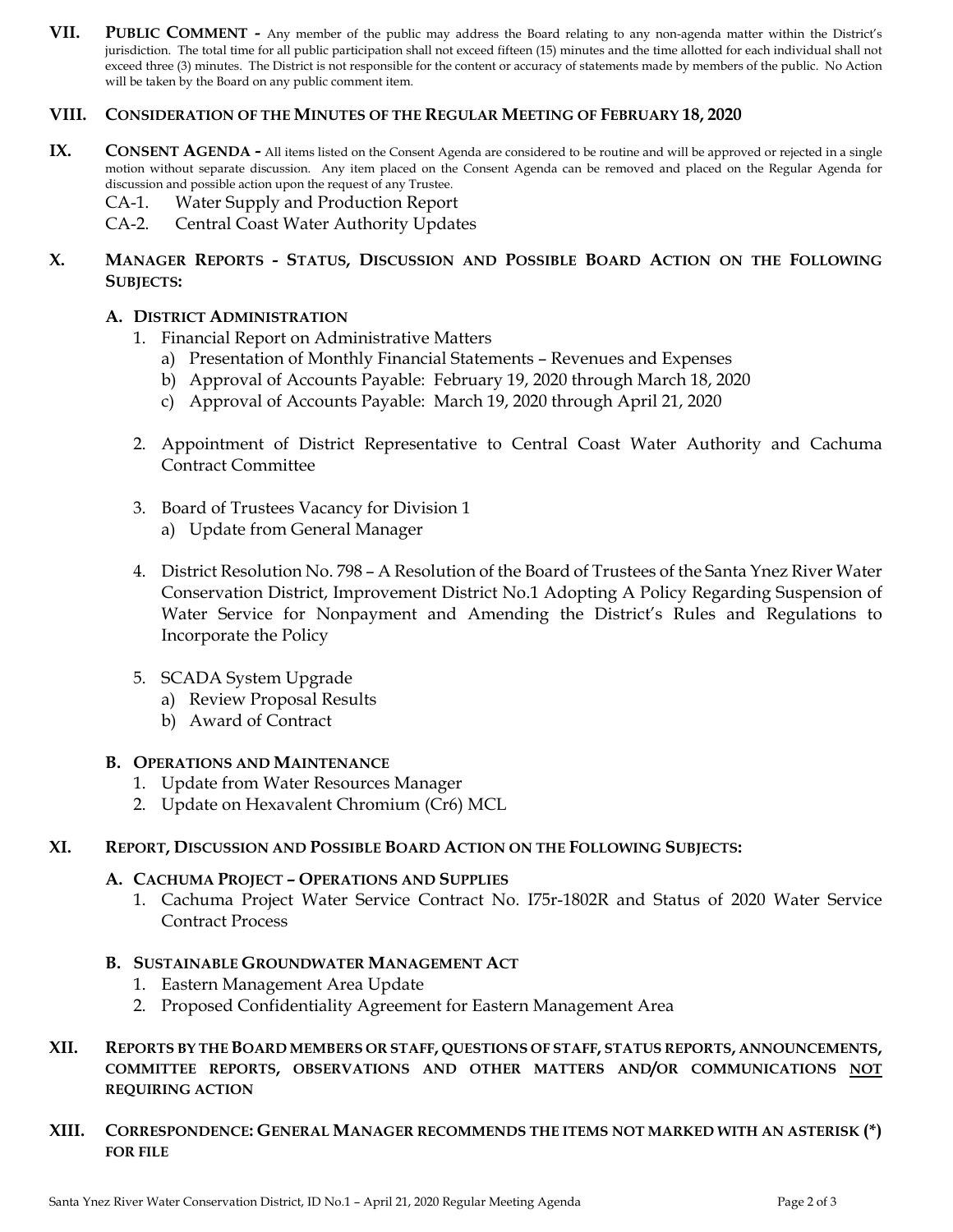**VII. PUBLIC COMMENT -** Any member of the public may address the Board relating to any non-agenda matter within the District's jurisdiction. The total time for all public participation shall not exceed fifteen (15) minutes and the time allotted for each individual shall not exceed three (3) minutes. The District is not responsible for the content or accuracy of statements made by members of the public. No Action will be taken by the Board on any public comment item.

#### **VIII. CONSIDERATION OF THE MINUTES OF THE REGULAR MEETING OF FEBRUARY 18, 2020**

- **IX.** CONSENT AGENDA All items listed on the Consent Agenda are considered to be routine and will be approved or rejected in a single motion without separate discussion. Any item placed on the Consent Agenda can be removed and placed on the Regular Agenda for discussion and possible action upon the request of any Trustee.
	- CA-1. Water Supply and Production Report
	- CA-2. Central Coast Water Authority Updates

### **X. MANAGER REPORTS - STATUS, DISCUSSION AND POSSIBLE BOARD ACTION ON THE FOLLOWING SUBJECTS:**

#### **A. DISTRICT ADMINISTRATION**

- 1. Financial Report on Administrative Matters
	- a) Presentation of Monthly Financial Statements Revenues and Expenses
	- b) Approval of Accounts Payable: February 19, 2020 through March 18, 2020
	- c) Approval of Accounts Payable: March 19, 2020 through April 21, 2020
- 2. Appointment of District Representative to Central Coast Water Authority and Cachuma Contract Committee
- 3. Board of Trustees Vacancy for Division 1 a) Update from General Manager
- 4. District Resolution No. 798 A Resolution of the Board of Trustees of the Santa Ynez River Water Conservation District, Improvement District No.1 Adopting A Policy Regarding Suspension of Water Service for Nonpayment and Amending the District's Rules and Regulations to Incorporate the Policy
- 5. SCADA System Upgrade
	- a) Review Proposal Results
	- b) Award of Contract

#### **B. OPERATIONS AND MAINTENANCE**

- 1. Update from Water Resources Manager
- 2. Update on Hexavalent Chromium (Cr6) MCL

#### **XI. REPORT, DISCUSSION AND POSSIBLE BOARD ACTION ON THE FOLLOWING SUBJECTS:**

#### **A. CACHUMA PROJECT – OPERATIONS AND SUPPLIES**

1. Cachuma Project Water Service Contract No. I75r-1802R and Status of 2020 Water Service Contract Process

#### **B. SUSTAINABLE GROUNDWATER MANAGEMENT ACT**

- 1. Eastern Management Area Update
- 2. Proposed Confidentiality Agreement for Eastern Management Area
- **XII. REPORTS BY THE BOARD MEMBERS OR STAFF, QUESTIONS OF STAFF, STATUS REPORTS, ANNOUNCEMENTS, COMMITTEE REPORTS, OBSERVATIONS AND OTHER MATTERS AND/OR COMMUNICATIONS NOT REQUIRING ACTION**
- **XIII. CORRESPONDENCE: GENERAL MANAGER RECOMMENDS THE ITEMS NOT MARKED WITH AN ASTERISK (\*) FOR FILE**